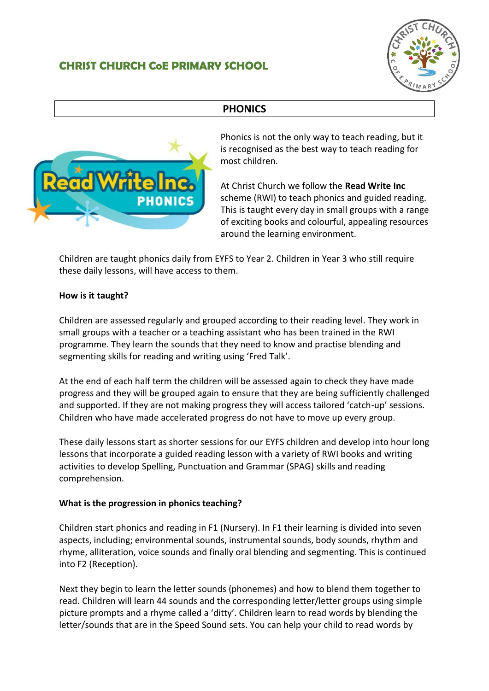## **CHRIST CHURCH CoE PRIMARY SCHOOL**



## **PHONICS**



Phonics is not the only way to teach reading, but it is recognised as the best way to teach reading for most children.

At Christ Church we follow the **Read Write Inc** scheme (RWI) to teach phonics and guided reading. This is taught every day in small groups with a range of exciting books and colourful, appealing resources around the learning environment.

Children are taught phonics daily from EYFS to Year 2. Children in Year 3 who still require these daily lessons, will have access to them.

## **How is it taught?**

Children are assessed regularly and grouped according to their reading level. They work in small groups with a teacher or a teaching assistant who has been trained in the RWI programme. They learn the sounds that they need to know and practise blending and segmenting skills for reading and writing using 'Fred Talk'.

At the end of each half term the children will be assessed again to check they have made progress and they will be grouped again to ensure that they are being sufficiently challenged and supported. If they are not making progress they will access tailored 'catch-up' sessions. Children who have made accelerated progress do not have to move up every group.

These daily lessons start as shorter sessions for our EYFS children and develop into hour long lessons that incorporate a guided reading lesson with a variety of RWI books and writing activities to develop Spelling, Punctuation and Grammar (SPAG) skills and reading comprehension.

## **What is the progression in phonics teaching?**

Children start phonics and reading in F1 (Nursery). In F1 their learning is divided into seven aspects, including; environmental sounds, instrumental sounds, body sounds, rhythm and rhyme, alliteration, voice sounds and finally oral blending and segmenting. This is continued into F2 (Reception).

Next they begin to learn the letter sounds (phonemes) and how to blend them together to read. Children will learn 44 sounds and the corresponding letter/letter groups using simple picture prompts and a rhyme called a 'ditty'. Children learn to read words by blending the letter/sounds that are in the Speed Sound sets. You can help your child to read words by